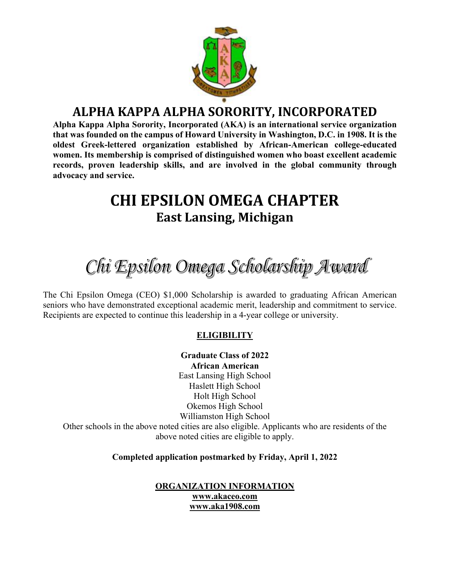

# **ALPHA KAPPA ALPHA SORORITY, INCORPORATED**

**Alpha Kappa Alpha Sorority, Incorporated (AKA) is an international service organization that was founded on the campus of Howard University in Washington, D.C. in 1908. It is the oldest Greek-lettered organization established by African-American college-educated women. Its membership is comprised of distinguished women who boast excellent academic records, proven leadership skills, and are involved in the global community through advocacy and service.**

# **CHI EPSILON OMEGA CHAPTER East Lansing, Michigan**

Chi Epsilon Omega Scholarship Award

The Chi Epsilon Omega (CEO) \$1,000 Scholarship is awarded to graduating African American seniors who have demonstrated exceptional academic merit, leadership and commitment to service. Recipients are expected to continue this leadership in a 4-year college or university.

## **ELIGIBILITY**

**Graduate Class of 2022 African American**  East Lansing High School Haslett High School Holt High School Okemos High School Williamston High School Other schools in the above noted cities are also eligible. Applicants who are residents of the above noted cities are eligible to apply.

**Completed application postmarked by Friday, April 1, 2022**

**ORGANIZATION INFORMATION www.akaceo.com www.aka1908.com**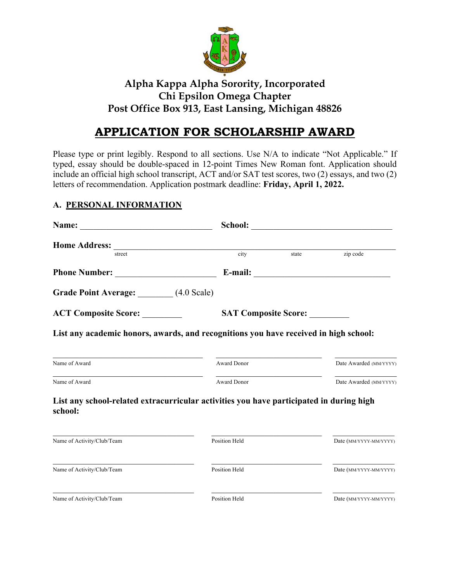

# **Alpha Kappa Alpha Sorority, Incorporated Chi Epsilon Omega Chapter Post Office Box 913, East Lansing, Michigan 48826**

# **APPLICATION FOR SCHOLARSHIP AWARD**

Please type or print legibly. Respond to all sections. Use N/A to indicate "Not Applicable." If typed, essay should be double-spaced in 12-point Times New Roman font. Application should include an official high school transcript, ACT and/or SAT test scores, two (2) essays, and two (2) letters of recommendation. Application postmark deadline: **Friday, April 1, 2022.**

# **A. PERSONAL INFORMATION**

| street                                                                                                                                              | $\overline{city}$           | state | zip code               |
|-----------------------------------------------------------------------------------------------------------------------------------------------------|-----------------------------|-------|------------------------|
|                                                                                                                                                     |                             |       |                        |
| Grade Point Average: (4.0 Scale)                                                                                                                    |                             |       |                        |
| <b>ACT Composite Score:</b>                                                                                                                         | <b>SAT Composite Score:</b> |       |                        |
| List any academic honors, awards, and recognitions you have received in high school:                                                                |                             |       |                        |
| Name of Award                                                                                                                                       | Award Donor                 |       | Date Awarded (MM/YYYY) |
| Name of Award                                                                                                                                       | <b>Award Donor</b>          |       | Date Awarded (MM/YYYY) |
| List any school-related extracurricular activities you have participated in during high<br>school:                                                  |                             |       |                        |
| <u> 1989 - Johann Stoff, deutscher Stoff, der Stoff, der Stoff, der Stoff, der Stoff, der Stoff, der Stoff, der S</u><br>Name of Activity/Club/Team | Position Held               |       | Date (MM/YYYY-MM/YYYY) |
| Name of Activity/Club/Team                                                                                                                          | Position Held               |       | Date (MM/YYYY-MM/YYYY) |
| Name of Activity/Club/Team                                                                                                                          | Position Held               |       | Date (MM/YYYY-MM/YYYY) |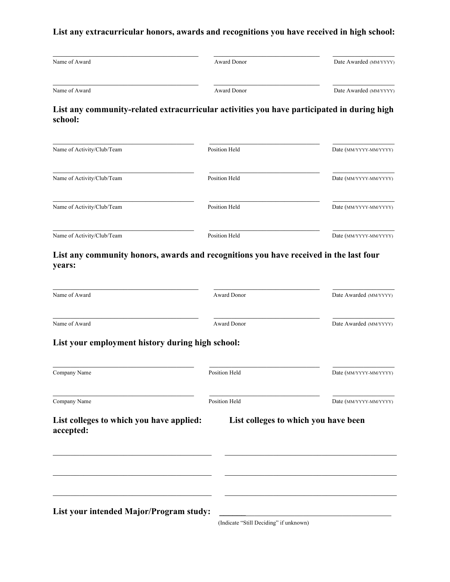# **List any extracurricular honors, awards and recognitions you have received in high school:**

| Name of Award | Award Donor | Date Awarded (MM/YYYY) |
|---------------|-------------|------------------------|
| Name of Award | Award Donor | Date Awarded (MM/YYYY) |

#### **List any community-related extracurricular activities you have participated in during high school:**

| Name of Activity/Club/Team | Position Held | Date (MM/YYYY-MM/YYYY) |
|----------------------------|---------------|------------------------|
| Name of Activity/Club/Team | Position Held | Date (MM/YYYY-MM/YYYY) |
| Name of Activity/Club/Team | Position Held | Date (MM/YYYY-MM/YYYY) |
| Name of Activity/Club/Team | Position Held | Date (MM/YYYY-MM/YYYY) |

## **List any community honors, awards and recognitions you have received in the last four years:**

| Name of Award                                         | <b>Award Donor</b>                     | Date Awarded (MM/YYYY) |
|-------------------------------------------------------|----------------------------------------|------------------------|
| Name of Award                                         | <b>Award Donor</b>                     | Date Awarded (MM/YYYY) |
| List your employment history during high school:      |                                        |                        |
| Company Name                                          | Position Held                          | Date (MM/YYYY-MM/YYYY) |
| Company Name                                          | <b>Position Held</b>                   | Date (MM/YYYY-MM/YYYY) |
| List colleges to which you have applied:<br>accepted: | List colleges to which you have been   |                        |
|                                                       |                                        |                        |
| List your intended Major/Program study:               |                                        |                        |
|                                                       | (Indicate "Still Deciding" if unknown) |                        |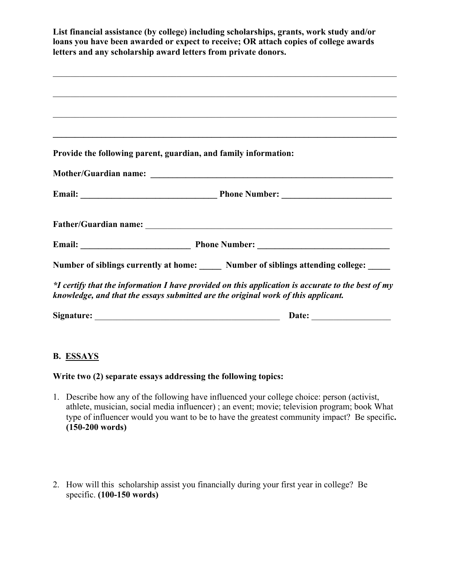|            | List financial assistance (by college) including scholarships, grants, work study and/or<br>loans you have been awarded or expect to receive; OR attach copies of college awards<br>letters and any scholarship award letters from private donors. |
|------------|----------------------------------------------------------------------------------------------------------------------------------------------------------------------------------------------------------------------------------------------------|
|            |                                                                                                                                                                                                                                                    |
|            |                                                                                                                                                                                                                                                    |
|            |                                                                                                                                                                                                                                                    |
|            | Provide the following parent, guardian, and family information:                                                                                                                                                                                    |
|            |                                                                                                                                                                                                                                                    |
|            |                                                                                                                                                                                                                                                    |
|            |                                                                                                                                                                                                                                                    |
|            |                                                                                                                                                                                                                                                    |
|            | Number of siblings currently at home: Number of siblings attending college: ____                                                                                                                                                                   |
|            | *I certify that the information I have provided on this application is accurate to the best of my<br>knowledge, and that the essays submitted are the original work of this applicant.                                                             |
| Signature: | Date:                                                                                                                                                                                                                                              |

## **B. ESSAYS**

## **Write two (2) separate essays addressing the following topics:**

- 1. Describe how any of the following have influenced your college choice: person (activist, athlete, musician, social media influencer) ; an event; movie; television program; book What type of influencer would you want to be to have the greatest community impact? Be specific**. (150-200 words)**
- 2. How will this scholarship assist you financially during your first year in college? Be specific. **(100-150 words)**